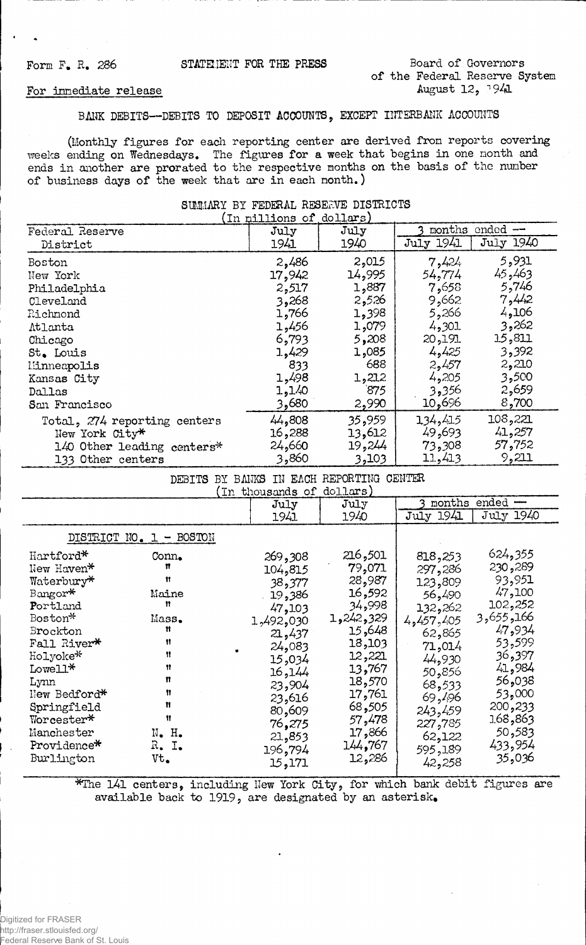## Form F. R. 286

## For innediate release

## BANK DEBITS--DEBITS TO DEPOSIT ACCOUNTS, EXCEPT INTERBANK ACCOUNTS

(Monthly figures for each reporting center are derived from reports covering weeks ending on Wednesdays. The figures for a week that begins in one nonth and<br>ends in another are prorated to the respective months on the basis of the number<br>of business days of the week that are in each nonth.)

| (In millions of dollars)     |        |        |                    |           |  |  |
|------------------------------|--------|--------|--------------------|-----------|--|--|
| Federal Reserve              | July   | July   | months<br>ended -- |           |  |  |
| District                     | 1941   | 1940   | July 1941          | July 1940 |  |  |
| <b>Boston</b>                | 2,486  | 2,015  | 7,424              | 5,931     |  |  |
| New York                     | 17,942 | 14,995 | 54,774             | 45,463    |  |  |
| Philadelphia                 | 2,517  | 1,887  | 7,658              | 5,746     |  |  |
| Cleveland                    | 3,268  | 2,526  | 9,662              | 7,442     |  |  |
| Richmond                     | 1,766  | 1,398  | 5,266              | 4,106     |  |  |
| Atlanta                      | 1,456  | 1,079  | 4,301              | 3,262     |  |  |
| Chicago                      | 6,793  | 5,208  | 20,191             | 15,811    |  |  |
| St. Louis                    | 1,429  | 1,085  | 4,425              | 3,392     |  |  |
| Minneapolis                  | 833    | 688    | 2,457              | 2,210     |  |  |
| Kansas City                  | 1,498  | 1,212  | 4,205              | 3,500     |  |  |
| Dallas                       | 1,140  | 875    | 3,356              | 2,659     |  |  |
| San Francisco                | 3,680  | 2,990  | 10,696             | 8,700     |  |  |
| Total, 274 reporting centers | 44,808 | 35,959 | 134,415            | 108,221   |  |  |
| New York City*               | 16,288 | 13,612 | 49,693             | 41,257    |  |  |
| 140 Other leading centers*   | 24,660 | 19,244 | 73,308             | 57,752    |  |  |
| 133 Other centers            | 3,860  | 3,103  | 11,413             | 9,211     |  |  |
|                              |        |        |                    |           |  |  |

SUMMARY BY FEDERAL RESERVE DISTRICTS

DEBITS BY BANKS IN EACH REPORTING CENTER

|                                         |                  | TII MIONSCHIUS OT          | $U \cup L \cup W$           |                              |                              |
|-----------------------------------------|------------------|----------------------------|-----------------------------|------------------------------|------------------------------|
|                                         |                  | July                       | July                        | months                       | ended -                      |
|                                         |                  | 1941                       | 1940                        | <b>July 1941</b>             | July 1940                    |
| DISTRICT NO. 1 - BOSTON                 |                  |                            |                             |                              |                              |
| Hartford*<br>New Haven*<br>Waterbury*   | Conn.<br>n<br>11 | 269,308<br>104,815         | 216,501<br>79,071<br>28,987 | 818,253<br>297,286           | 624,355<br>230,289<br>93,951 |
| Bangor*<br>Portland                     | Maine<br>11      | 38,377<br>19,386<br>47,103 | 16,592<br>34,998            | 123,809<br>56,490<br>132,262 | 47,100<br>102,252            |
| Boston*<br>Brockton                     | Mass.<br>Ħ<br>Ħ  | 1,492,030<br>21,437        | 1,242,329<br>15,648         | 4,457,405<br>62,865          | 3,655,166<br>47,934          |
| Fall River*<br>Holyoke*<br>Lowell*      | Ħ<br>Ħ           | 24,083<br>15,034           | 18,103<br>12,221<br>13,767  | 71,014<br>44,930             | 53,599<br>36,397<br>41,984   |
| Lynn<br>New Bedford*                    | n<br>Ħ<br>Ħ      | 16,144<br>23,904<br>23,616 | 18,570<br>17,761            | 50,856<br>68,533<br>69,496   | 56,038<br>53,000             |
| Springfield<br>Worcester*<br>Manchester | 11<br>N. H.      | 80,609<br>76,275<br>21,853 | 68,505<br>57,478<br>17,866  | 243,459<br>227,785<br>62,122 | 200,233<br>168,863<br>50,583 |
| Providence*<br>Burlington               | R. I.<br>Vt.     | 196,794<br>15,171          | 144,767<br>12,286           | 595,189<br>42,258            | 433,954<br>35,036            |

\*The 141 centers, including New York City, for which bank debit figures are available back to 1919, are designated by an asterisk.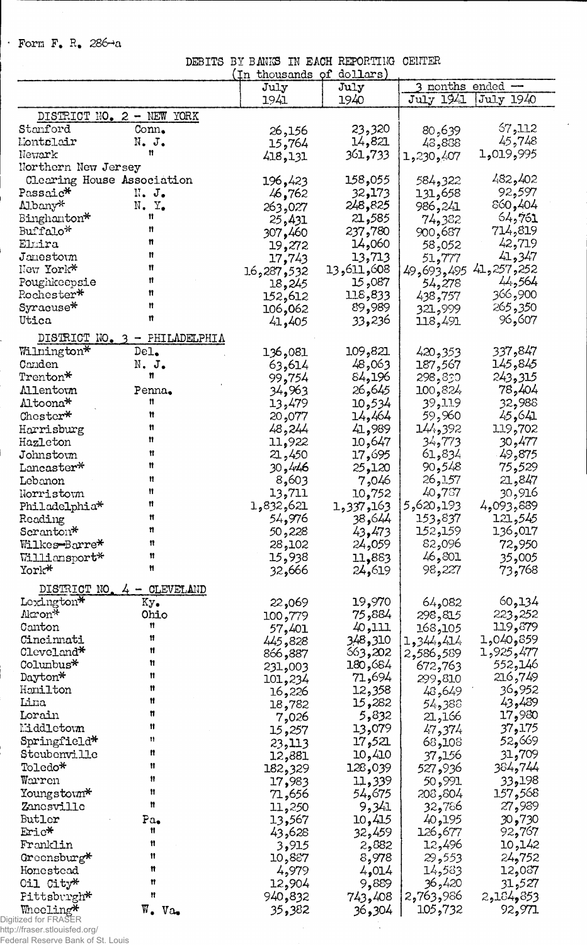· Form F. R. 286 $\neg a$ 

ł

 $\overline{\phantom{a}}$ 

 $\frac{1}{2}$ 

DEBITS BY BANKS IN EACH REPORTING CENTER<br>(In thousands of dollars)

 $\mathbb{Z}^{\mathbb{Z}}$ 

|                            |                           | unupanup   | $u_{\text{u},\text{u},\text{u}}$ |                          |
|----------------------------|---------------------------|------------|----------------------------------|--------------------------|
|                            |                           | July       | July                             | 3 months ended $-$       |
|                            |                           | 1941       | 1940                             | July 1941<br>July 1940   |
|                            |                           |            |                                  |                          |
|                            | DISTRICT NO. 2 - NEW YORK |            |                                  |                          |
| Stanford                   | Conn.                     | 26,156     | 23,320                           | 57,112<br>80,639         |
| Montelair                  | $N$ . $J$ .               | 15,764     | 14,821                           | 45,748<br>43,888         |
| Newark                     | Ħ                         | 418,131    | 361,733                          | 1,019,995<br>1,230,407   |
| Northern New Jersey        |                           |            |                                  |                          |
|                            |                           |            |                                  |                          |
| Clearing House Association |                           | 196,423    | 158,055                          | 482,402<br>584,322       |
| Passaic*                   | $\mathbb{N}$ . J.         | 46,762     | 32,173                           | 92,597<br>131,658        |
| Albany*                    | N. Y <sub>o</sub>         | 263,027    | 248,825                          | 860,404<br>986,241       |
| Binghanton*                | 11                        | 25,431     | 21,585                           | 64,761<br>74,382         |
| Buffalo*                   | Ħ                         |            |                                  |                          |
|                            |                           | 307,460    | 237,780                          | 714,819<br>900,687       |
| Elmira                     | n                         | 19,272     | 060و14                           | 42,719<br>58,052         |
| $J$ amesto $m$             | Ħ                         | 17,743     | 13,713                           | 41,347<br>51,777         |
| New York*                  | Ħ                         | 16,287,532 | 008,11%,13                       | 41,257,252<br>49,693,495 |
|                            | Ħ                         |            |                                  | 44,564                   |
| Poughkeepsie               |                           | 18,245     | 087, 15                          | 54,278                   |
| Rochester*                 | n                         | 152,612    | 118,833                          | 900, 366<br>438,757      |
| Syracuse*                  | Ħ                         | 106,062    | 89,989                           | 265,350<br>321,999       |
| Utica                      | n                         | 41,405     | 33,236                           | 96,607<br>118,491        |
|                            |                           |            |                                  |                          |
| DISTRICT NO. 3             | $-$ PHILADELPHIA          |            |                                  |                          |
| Wilnington*                | De <sub>1</sub>           | 136,081    | 109,821                          | 337,847<br>420,353       |
|                            |                           |            |                                  |                          |
| Canden                     | N. J.                     | 63,614     | 48,063                           | 145,845<br>187,567       |
| Trenton*                   | n                         | 99,754     | 84,196                           | 298,830<br>243,315       |
| <b>Allentown</b>           | Penna.                    | 34,963     | 26,645                           | 78,404<br>100,824        |
| Altoona*                   | Ħ                         | 13,479     | 10,534                           | 39,119<br>32,988         |
|                            | n                         |            |                                  | 59,960                   |
| Chester*                   |                           | 20,077     | 14,464                           | 45,641                   |
| Harrisburg                 | n                         | 48,244     | 41,989                           | 144,392<br>119,702       |
| Hazleton                   | Ħ                         | 11,922     | 10,647                           | 34,773<br>30,477         |
| Johnstown                  | Ħ                         | 21,450     | 17,695                           | 61,834<br>49,875         |
|                            | Ħ                         |            |                                  |                          |
| $Lancaster*$               |                           | 30,446     | 25,120                           | 90,548<br>75,529         |
| Lebanon                    | n                         | 8,603      | 7,046                            | 21,847<br>26,157         |
| Norristown                 | Ħ                         | 13,711     | 10,752                           | 40,787<br>30,916         |
| Philadelphia*              | 11                        | 1,832,621  | 1,337,163                        | 4,093,889<br>5,620,193   |
|                            | Ħ                         |            |                                  |                          |
| Reading                    |                           | 54,976     | 38,644                           | 153,837<br>121,545       |
| Scranton*                  | 11                        | 50,228     | 43,473                           | 136,017<br>152,159       |
| Wilkes-Barre*              | 11                        | 28,102     | 24,059                           | 82,096<br>72,950         |
| Williansport*              | Ħ                         | 15,938     | 11,883                           | 46,801<br>35,005         |
| York*                      | Ħ                         |            |                                  |                          |
|                            |                           | 32,666     | 24,619                           | 73,768<br>98,227         |
| DISTRICT NO                | <b>CLEVELAND</b>          |            |                                  |                          |
|                            |                           |            |                                  |                          |
| Lexington*                 | Ky.                       | 22,069     | 19,970                           | 60,134<br>64,082         |
| Akron*                     | Ohio                      | 100,779    | 884ء 75                          | 223,252<br>298,815       |
| Canton                     | Ħ                         | 57,401     | 40,111                           | 119,879<br>163,105       |
| Cincinnati                 | Ħ                         | 445,828    | 3,48,310                         | 559و240,0<br>1,344,414   |
| Cleveland*                 | Ħ                         |            | 663,202                          | 1,925,477                |
|                            | n                         | 866,887    |                                  | 2,586,589                |
| Columbus <sup>*</sup>      |                           | 231,003    | 180,684                          | 552,146<br>672,763       |
| Dayton*                    | n                         | 101,234    | 71,694                           | 216,749<br>299,810       |
| Hanilton                   | Ħ                         | 16,226     | 12,358                           | 36,952<br>48,649         |
| Lina                       | Ħ                         | 18,782     | 15,282                           | 43,489<br>54,388         |
| Lorain                     | Ħ                         |            |                                  |                          |
|                            |                           | 7,026      | 5,832                            | 17,980<br>21,166         |
| Liddletown                 | 11                        | 15,257     | 13,079                           | 37,175<br>47,374         |
| $\texttt{Springfield*}$    | Ħ                         | 23,113     | 17,521                           | 52,669<br>68,108         |
| Steubenville               | n                         | 12,881     | 10,410                           | 31,709<br>156ھ57         |
|                            | Ħ                         |            |                                  |                          |
| Toledo*                    |                           | 182,329    | 128,039                          | 384,744<br>527,936       |
| Warren                     | Ħ                         | 17,983     | 11,339                           | 198ه33<br>50,991         |
| Youngstown*                | Ħ                         | 71,656     | 54,675                           | 157,568<br>208,804       |
| Zanosvillo                 | Ħ                         |            | 9,341                            | 27,989<br>32,786         |
|                            |                           | 11,250     |                                  |                          |
| Butler                     | Pa.                       | 13,567     | 10,415                           | 30,730<br>40,195         |
| Eric*                      | Ħ                         | 43,628     | 32,459                           | 126,677<br>92,767        |
| Franklin                   | n                         | 3,915      | 2,882                            | 12,496<br>10,142         |
| Greensburg*                | Ħ                         | 10,887     | 8,978                            | 24,752<br>29,553         |
|                            |                           |            |                                  |                          |
| Homestead                  | n                         | 4,979      | 4,014                            | 14,583<br>12,087         |
| Oil City*                  | Ħ                         | 12,904     | 9,889                            | 36,420<br>31,527         |
| Pittsburgh*                | Ħ                         | 940,832    | 743,408                          | 2,763,986<br>2,184,853   |
|                            | $W_•$ $Va_•$              |            |                                  | 92,971                   |
| Whoeling*<br>for FRASER    |                           | 35,382     | 36,304                           | 105,732                  |
| :Ar etlouiefad oral        |                           |            |                                  |                          |

maculating<br>Digitized for FRASER<br>http://fraser.stlouisfed.org/<br>Federal Reserve Bank of St. Louis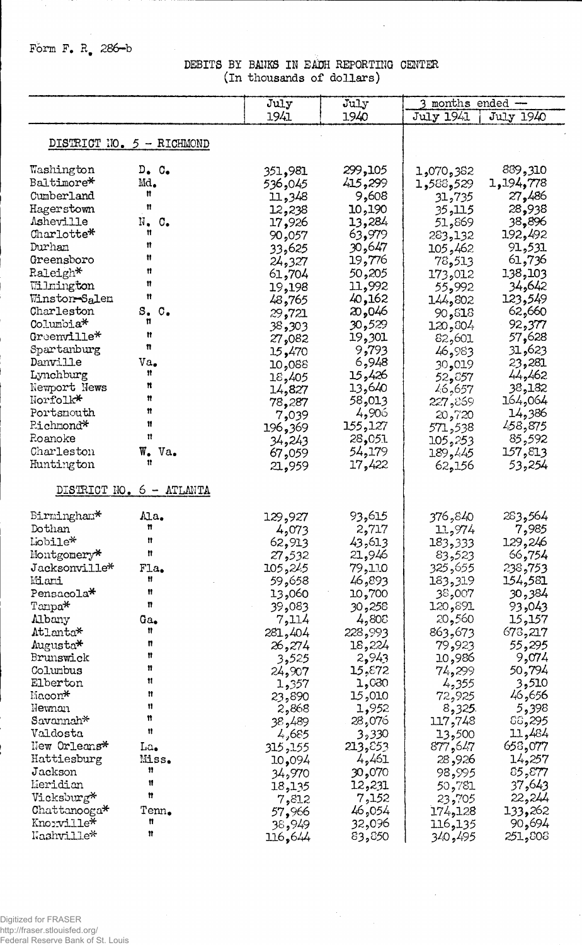Form F. R. 286-b

DEBITS BY BANKS IN EACH REPORTING CENTER (in thousands of dollars)

|                                         |                                   | July             | July             | 3 months ended -  |                  |
|-----------------------------------------|-----------------------------------|------------------|------------------|-------------------|------------------|
|                                         |                                   | 1941             | 1940             | July 1941         | July 1940        |
|                                         |                                   |                  |                  |                   |                  |
| DISTRICT NO. 5 - RICHMOND               |                                   |                  |                  |                   |                  |
|                                         |                                   |                  |                  |                   |                  |
| Washington                              | $D_{\bullet}$ $C_{\bullet}$       | 351,981          | 299,105          | 1,070,382         | 889,310          |
| Baltimore*                              | Md.<br>n                          | 536,045          | 415,299          | 1,588,529         | 1,194,778        |
| Cumberland                              | n                                 | 11,348           | 9,608            | 31,735            | 27,486           |
| Hagerstown                              |                                   | 12,238           | 10,190           | 35,115            | 28,938           |
| Asheville                               | N.<br>$\mathbf{C}_{\bullet}$<br>Ħ | 17,926           | 13,284           | 51,869            | 38,896           |
| Charlotte*<br>Durham                    | n                                 | 90,057           | 63,979           | 283,132           | 192,492          |
| Greensboro                              | Ħ                                 | 33,625           | 30,647<br>19,776 | 462, 105          | 91,531<br>61,736 |
| Raleigh*                                | n                                 | 24,327           | 50,205           | 78,513            | 138,103          |
| Wilmington                              | Ħ                                 | 61,704<br>19,198 | 11,992           | 173,012<br>55,992 | 34,642           |
| Winston <del>-</del> S <sub>a</sub> lem | Ħ                                 | 48,765           | 40,162           | 144,802           | 123,549          |
| Charleston                              | $S_{\bullet}$<br>$\circ$ .        | 29,721           | 20,046           | 90,818            | 62,660           |
| $\text{Columnia*}$                      | n                                 | 38,303           | 30,529           | 120,804           | 92,377           |
| Greenville*                             | Ħ                                 | 27,082           | 19,301           | 82,601            | 57,628           |
| Spartanburg                             | n                                 | 15,470           | 9,793            | 46,983            | 31,623           |
| Danville                                | Va.                               | 10,088           | 6,948            | 30,019            | 23,281           |
| Lynchburg                               | n                                 | 18,405           | 15,426           | 52,857            | 44,462           |
| Newport News                            | n                                 | 14,827           | 13,640           | 46,657            | 38,182           |
| Norfolk*                                | n                                 | 78,287           | 58,013           | 227,869           | 164,064          |
| Portsnouth                              | n                                 | 7,039            | 4,906            | 20,720            | 14,386           |
| Pichmond*                               | 11<br>11                          | 369, 196         | 155,127          | 571,538           | 458,875          |
| Roanoke                                 |                                   | 34,243           | 28,051           | 105,253           | 85,592           |
| Charleston                              | W. Va.<br>11                      | 67,059           | 54,179           | 189,445           | 157,813          |
| Huntington                              |                                   | 21,959           | 17,422           | 62,156            | 53,254           |
|                                         | DISTRICT NO. 6 - ATLANTA          |                  |                  |                   |                  |
| Birmingham*                             | Ma.                               | 129,927          | 93,615           | 376,840           | 283,564          |
| Dothan                                  | n                                 | 4,073            | 2,717            | 11,974            | 7,985            |
| Lobile*                                 | n                                 | 62,913           | 43,613           | 183,333           | 129,246          |
| Montgomery*                             | n                                 | 27,532           | 21,946           | 83,523            | 66,754           |
| Jacksonville*                           | Fla.                              | 245 و105         | 79,110           | 325,655           | 238,753          |
| Miani                                   | Ħ                                 | 59,658           | 893, 46          | 183,319           | 154,581          |
| Pensacola*                              | Ħ                                 | 13,060           | 10,700           | 38,007            | 30,384           |
| $\text{T} \text{ampa}^{\mathcal{H}}$    | n                                 | 39,083           | 30,258           | 120,891           | 93,043           |
| Albany                                  | Ga.                               | 7,114            | 4,808            | 20,560            | 15,157           |
| Atlanta*                                | Ħ<br>n                            | 281,404          | 228,993          | 863,673           | 673,217          |
| Augusta*<br>Brunswick                   | Ħ                                 | 26,274           | 18,224           | 79,923            | 55,295<br>9,074  |
| Columbus                                | n                                 | 3,525            | 2,943<br>15,872  | 10,986<br>74,299  | 50,794           |
| Elberton                                | Ħ                                 | 24,907<br>1,357  | 1,030            | 4,355             | 3,510            |
| $\text{Macon}^*$                        | Ħ                                 | 23,890           | 15,010           | 72,925            | 46,656           |
| Newnan                                  | 11                                | 2,868            | 1,952            | 8,325.            | 5,398            |
| Savannah*                               | Ħ                                 | 38,489           | 28,076           | 117,748           | ිරි,295          |
| Valdosta                                | 11                                | 4,685            | 3,330            | 13,500            | 11,484           |
| New Orleans*                            | La.                               | 155, 155         | 213,853          | 877,647           | 658,077          |
| Hattiesburg                             | Miss.                             | 094م10           | 4,461            | 28,926            | 14,257           |
| Jackson                                 | 11                                | 34,970           | 30,070           | 98,995            | 85,877           |
| Meridian                                | 11                                | 18,135           | 12,231           | 50,781            | 37,643           |
| Vicksburg*                              | Ħ                                 | 7,812            | 7,152            | 23,705            | 22,244           |
| Chattanooga*                            | Tenn.                             | 57,966           | 46,054           | 174,128           | 133,262          |
| Knoxville*                              | Ħ                                 | 38,949           | 32,096           | 116,135           | 90,694           |
| Washville*                              | Ħ                                 | 116,644          | 83,850           | 340,495           | 251,808          |

 $\bar{\mathcal{A}}$ 

 $\mathcal{M}_{\rm{max}}$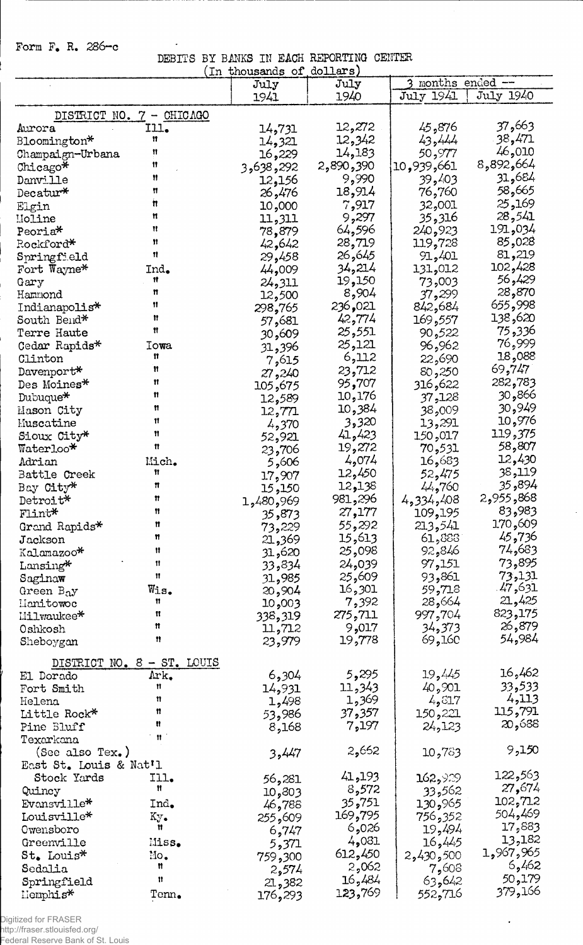Form F. R. 286-c

 $\sim$ 

DEBIT'S BY BMKS IK EACH REPORTING CENTER

|                        |                            | (In thousands of dollars) |           |                 |           |
|------------------------|----------------------------|---------------------------|-----------|-----------------|-----------|
|                        |                            | July                      | July      | months ended -- |           |
|                        |                            | 1941                      | 1940      | July 1941       | July 1940 |
|                        | DISTRICT NO. 7 - CHICAGO   |                           |           |                 |           |
| Aurora                 | Ill.                       | 14,731                    | 12,272    | 45,876          | 37,663    |
| Bloomington*           | Ħ                          |                           | 12,342    | 43,444          | 38,471    |
|                        | 11                         | 14,321                    |           | 50,977          | 46,010    |
| Champaign-Urbana       | Ħ                          | 16,229                    | 14,183    |                 | 8,892,664 |
| Chicago*               | Ħ                          | 3,638,292                 | 2,890,390 | 10,939,661      | 31,684    |
| Danville               |                            | 12,156                    | 9,990     | 39,403          |           |
| Decatur*               | Ħ                          | 26,476                    | 18,914    | 76,760          | 58,665    |
| Elgin                  | Ħ                          | 10,000                    | 7,917     | 32,001          | 25,169    |
| Moline                 | n                          | 11,311                    | 9,297     | 35,316          | 28,541    |
| Peoria*                | Ħ                          | 78,879                    | 64,596    | 240,923         | 191,034   |
| Rockford*              | n                          | 42,642                    | 28,719    | 119,728         | 85,028    |
| Springfield            | 11                         | 29,458                    | 26,645    | 91,401          | 81,219    |
| Fort Wayne*            | Ind.                       | 44,009                    | 34,214    | 131,012         | 102,428   |
| Gary                   | 11                         | 24,311                    | 19,150    | 73,003          | 56,429    |
| Hammond                | n                          | 12,500                    | 8,904     | 37,299          | 28,870    |
| Indianapolis*          | 11                         | 298,765                   | 236,021   | 842,684         | 655,998   |
| South Bend*            | Ħ                          | 57,681                    | 42,774    | 169,557         | 138,620   |
| Terre Haute            | Ħ                          | 609و30                    | 25,551    | 90,522          | 75,336    |
| Cedar Rapids*          | Iowa                       | 31,396                    | 25,121    | 96,962          | 76,999    |
| Clinton                | 11                         | 7,615                     | 6,112     | 22,690          | 18,088    |
| Davenport*             | Ħ                          | 27,240                    | 23,712    | 80,250          | 69,747    |
| Des Moines*            | 11                         | 105,675                   | 95,707    | 316,622         | 282,783   |
| Dubuque*               | n                          |                           | 10,176    | 37,128          | 866و30    |
| Mason City             | n                          | 12,589                    | 10,384    | 009,38          | 30,949    |
| Muscatine              | Ħ                          | 12,771                    | 3,320     | 13,291          | 10,976    |
|                        | Ħ                          | 4,370                     | 41,423    |                 | 119,375   |
| Sioux City*            | n                          | 52,921                    | 19,272    | 150,017         | 58,807    |
| $\texttt{Waterloo*}$   |                            | 23,706                    |           | 70,531          | 12,430    |
| Adrian                 | Mich.                      | 5,606                     | 4,074     | 16,683          |           |
| Battle Creek           | 11                         | 17,907                    | 12,450    | 52,475          | 38,119    |
| Bay City*              | n                          | 15,150                    | 12,138    | 44,760          | 35,894    |
| Detroit*               | 11                         | 969و480\$1                | 981,296   | 4,334,408       | 2,955,868 |
| Flint*                 | Ħ                          | 35,873                    | 27,177    | 109,195         | 83,983    |
| Grand Rapids*          | Ħ                          | 73,229                    | 55,292    | 213,541         | 170,609   |
| Jackson                | n                          | 21,369                    | 15,613    | 61,883          | 45,736    |
| Kalamazoo*             | 11                         | 31,620                    | 25,098    | 92,846          | 74,683    |
| Lansing*               | 11                         | 33,834                    | 24,039    | 97,151          | 73,895    |
| Saginaw                | Ħ                          | 31,985                    | 25,609    | 93,861          | 73,131    |
| Green $B_0y$           | Wis.                       | 20,904                    | 16,301    | 59,718          | 47,631    |
| Hanitowoc              | 11                         | 003,009                   | 7,392     | 28,664          | 21,425    |
| Milwaukee*             | Ħ                          | 338,319                   | 275,711   | 997,704         | 823,175   |
| Oshkosh                | Ħ                          | 11,712                    | 9,017     | 34,373          | 26,879    |
| Sheboygan              | n                          | 23,979                    | 19,778    | 69,160          | 54,984    |
|                        |                            |                           |           |                 |           |
|                        | DISTRICT NO. 8 - ST. LOUIS |                           |           |                 |           |
| El Dorado              | Ark.                       | 6,304                     | 5,295     | 19,445          | 16,462    |
| Fort Smith             | 11                         | 14,931                    | 11,343    | 40,901          | 33,533    |
| Helena                 | Ħ                          | 1,498                     | 1,369     | 4,617           | 4,113     |
| Little Rock*           | Ħ                          | 53,986                    | 37,357    | 150,221         | 115,791   |
| Pine Bluff             | n                          | 8,168                     | 7,197     | 24,123          | 20,688    |
| Texarkana              |                            |                           |           |                 |           |
| (See also Tex.)        |                            | 3,447                     | 2,652     | 10,783          | 9,150     |
| East St. Louis & Nat'l |                            |                           |           |                 |           |
| Stock Yards            | Ill.                       | 56,281                    | 41,193    | 162,929         | 122,563   |
| Quincy                 | Ħ                          |                           | 8,572     | 33,562          | 27,674    |
| Evansville*            | Ind.                       | 303و10                    | 35,751    | 130,965         | 102,712   |
|                        |                            | 46,788                    | 169,795   |                 | 504,469   |
| Louisville*            | Ky.<br>Ħ                   | 255,609                   | 6,026     | 756,352         | 17,883    |
| Owensboro              |                            | 6,747                     |           | 19,494          | 13,182    |
| Greenville             | Miss.                      | 5,371                     | 4,031     | 16,445          | 1,967,965 |
| St. Louis*             | Mo.                        | 759,300                   | 612,450   | 500 و430 و2     |           |
| Sedalia                | n                          | 2,574                     | 2,062     | 7,608           | 6,462     |
| Springfield            | 11                         | 21,382                    | 16,484    | 63,642          | 50,179    |
| llemphis*              | $\text{Tem}_\bullet$       | 176,293                   | 123,769   | 552,716         | 379,166   |

 $\bar{\beta}$ 

 $\bullet$ 

Digitized for FRASER http://fraser.stlouisfed.org/ Federal Reserve Bank of St. Louis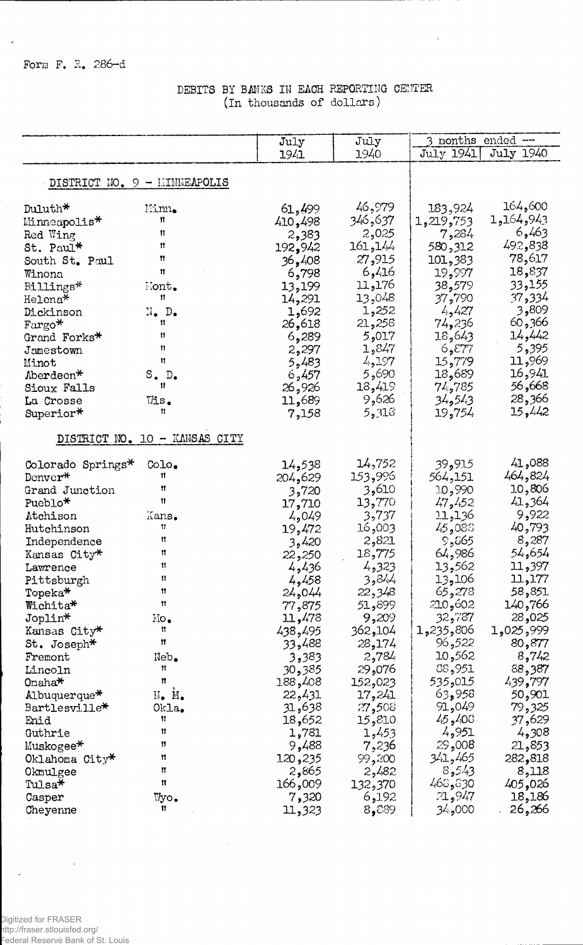## DEBITS BY BANKS IN EACH REPORTING CENTER (In thousands of dollars)

 $\hat{\mathcal{A}}$ 

|                                           | July    | July     | 3 months ended $-$ |           |
|-------------------------------------------|---------|----------|--------------------|-----------|
|                                           | 1941    | 1940     | July 1941          | July 1940 |
|                                           |         |          |                    |           |
| DISTRICT NO. 9 - LINNEAPOLIS              |         |          |                    |           |
| Duluth*<br>Minn.                          | 61,499  | 46,979   | 183,924            | 164,600   |
| n<br>Minneapolis*                         | 410,498 | 346,637  | 1,219,753          | 1,164,943 |
| 11<br>Red Wing                            | 2,383   | 2,025    | 7,284              | 6,463     |
| $\mathbf{H}$<br>St. Paul*                 | 192,942 | 161, 144 | 580,312            | 492,838   |
| Ħ<br>South St. Paul                       | 36,408  | 27,915   | 101,383            | 78,617    |
| 11<br>Winona                              | 6,798   | 6,416    | 19,997             | 18,837    |
| Nont.<br>Billings*                        | 13,199  | 176و11   | 38,579             | 33,155    |
| n<br>Helena*                              | 14,291  | 13,048   | 37,790             | 37,334    |
| $N_{\bullet}$ $D_{\bullet}$<br>Dickinson  | 1,692   | 1,252    | 4,427              | 3,809     |
| Ħ<br>$\text{Fargo*}$                      | 26,618  | 21,258   | 74,236             | 60,366    |
| Ħ<br>Grand Forks*                         | 6,289   | 5,017    | 18,643             | 14,442    |
| 11<br>Jamestown                           | 2,297   | 1,847    | 6,577              | 5,395     |
| Ħ<br>Minot                                | 5,483   | 4,197    | 15,779             | 11,969    |
| S.D.<br>Aberdeen*                         | 6,457   | 5,690    | 18,689             | 16,941    |
| 11<br>Sioux Falls                         | 26,926  | 18,419   | 74,785             | 668,66    |
| $Wis_{\bullet}$<br>La Crosse              | 11,689  | 9,626    | 34,543             | 28,366    |
| Ħ<br>Superior*                            | 7,158   | 5,318    | 19,754             | 15,442    |
|                                           |         |          |                    |           |
| DISTRICT NO. 10 - KANSAS CITY             |         |          |                    |           |
| $\text{Col}_\bullet$<br>Colorado Springs* | 14,538  | 14,752   | 39,915             | 41,088    |
| 11<br>Denver*                             | 204,629 | 153,996  | 564,151            | 464,824   |
| 11<br>Grand Junction                      | 3,720   | 3,610    | 10,990             | 10,806    |
| Ħ<br>Pueblo*                              | 17,710  | 13,770   | 47,452             | 41,364    |
| Atchison<br>Kans.                         | 4,049   | 3,737    | 11,136             | 9,922     |
| Ħ<br>Hutchinson                           | 19,472  | 003, 16  | 45,088             | 40,793    |
| n<br>Independence                         | 3,420   | 2,821    | 9,865              | 8,287     |
| Ħ<br>Kansas City*                         | 22,250  | 18,775   | 64,986             | 54,654    |
| Ħ<br>Lawrence                             | 4,436   | 4,323    | 13,562             | 11,397    |
| Ħ<br>Pittsburgh                           | 4,458   | 3,844    | 13,106             | 11,177    |
| Ħ<br>Topeka <sup>*</sup>                  | 24,044  | 22,348   | 65,278             | 58,851    |
| Ħ<br>Wichita*                             | 77,875  | 51,899   | 210,602            | 140,766   |
| Joplin*<br>$\rm\,M_O$                     | 11,478  | 9,209    | 32,787             | 28,025    |
| n<br>Kansas City*                         | 438,495 | 362,104  | 1,235,806          | 1,025,999 |
| 11<br>St. Joseph $\texttt{*}$             | 33,488  | 28,174   | 96,522             | 80,877    |
| Neb.<br>Fremont                           | 3,383   | 2,784    | 10,562             | 8,742     |
| Ħ<br>Lincoln                              | 30,385  | 076و29   | 88,951             | 88,387    |
| Ħ<br>$On a ha*$                           | 188,408 | 152,023  | 015, 535           | 439,797   |
| N. M.<br>Albuquerque*                     | 22,431  | 17,241   | 63,958             | 50,901    |
| Okla.<br>Bartlesville*                    | 31,638  | 27,508   | 91,049             | 79,325    |
| Ħ<br>Enid                                 | 18,652  | 15,810   | 45,408             | 37,629    |
| n<br>Guthrie                              | 1,781   | 1,453    | 4,951              | 4,308     |
| Ħ<br>Muskogee*                            | 9,488   | 7,236    | 29,008             | 21,853    |
| 11<br>Oklahoma $City*$                    | 120,235 | 99,200   | 341,465            | 282,818   |
| n<br>Okmulgee                             | 2,865   | 2,482    | 8,543              | 8,118     |
| Ħ<br>Tulsa $\star$                        | 166,009 | 132,370  | 468,830            | 405,026   |
| Wyo.<br>Casper                            | 7,320   | 6,192    | 21,947             | 18,186    |
| n<br>Cheyenne                             | 11,323  | 8,889    | 000و پکۇ           | 26,266    |

 $\bar{\gamma}$ 

 $\cdot$